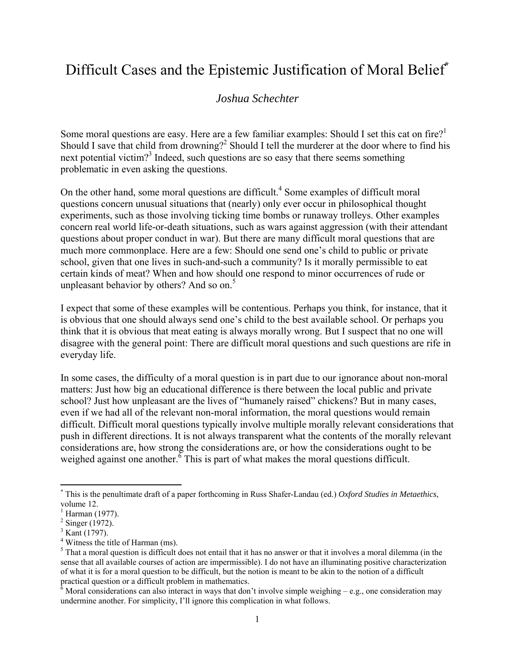# Difficult Cases and the Epistemic Justification of Moral Belief**\***

## *Joshua Schechter*

Some moral questions are easy. Here are a few familiar examples: Should I set this cat on fire?<sup>1</sup> Should I save that child from drowning?<sup>2</sup> Should I tell the murderer at the door where to find his next potential victim?<sup>3</sup> Indeed, such questions are so easy that there seems something problematic in even asking the questions.

On the other hand, some moral questions are difficult.<sup>4</sup> Some examples of difficult moral questions concern unusual situations that (nearly) only ever occur in philosophical thought experiments, such as those involving ticking time bombs or runaway trolleys. Other examples concern real world life-or-death situations, such as wars against aggression (with their attendant questions about proper conduct in war). But there are many difficult moral questions that are much more commonplace. Here are a few: Should one send one's child to public or private school, given that one lives in such-and-such a community? Is it morally permissible to eat certain kinds of meat? When and how should one respond to minor occurrences of rude or unpleasant behavior by others? And so on. $5$ 

I expect that some of these examples will be contentious. Perhaps you think, for instance, that it is obvious that one should always send one's child to the best available school. Or perhaps you think that it is obvious that meat eating is always morally wrong. But I suspect that no one will disagree with the general point: There are difficult moral questions and such questions are rife in everyday life.

In some cases, the difficulty of a moral question is in part due to our ignorance about non-moral matters: Just how big an educational difference is there between the local public and private school? Just how unpleasant are the lives of "humanely raised" chickens? But in many cases, even if we had all of the relevant non-moral information, the moral questions would remain difficult. Difficult moral questions typically involve multiple morally relevant considerations that push in different directions. It is not always transparent what the contents of the morally relevant considerations are, how strong the considerations are, or how the considerations ought to be weighed against one another.  $\delta$  This is part of what makes the moral questions difficult.

<sup>\*</sup> This is the penultimate draft of a paper forthcoming in Russ Shafer-Landau (ed.) *Oxford Studies in Metaethics*, volume 12.

 $<sup>1</sup>$  Harman (1977).</sup>

 $2$  Singer (1972).

 $3$  Kant (1797).

<sup>&</sup>lt;sup>4</sup> Witness the title of Harman (ms).

 $<sup>5</sup>$  That a moral question is difficult does not entail that it has no answer or that it involves a moral dilemma (in the</sup> sense that all available courses of action are impermissible). I do not have an illuminating positive characterization of what it is for a moral question to be difficult, but the notion is meant to be akin to the notion of a difficult practical question or a difficult problem in mathematics.<br><sup>6</sup> Moral considerations can also interact in ways that don't involve simple weighing – e.g., one consideration may

undermine another. For simplicity, I'll ignore this complication in what follows.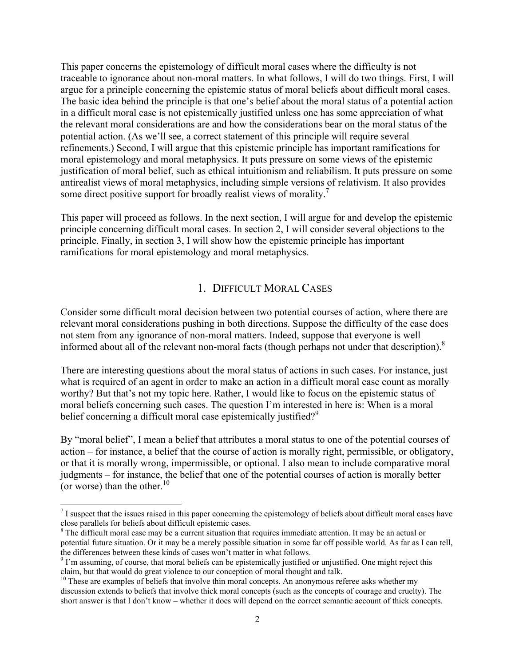This paper concerns the epistemology of difficult moral cases where the difficulty is not traceable to ignorance about non-moral matters. In what follows, I will do two things. First, I will argue for a principle concerning the epistemic status of moral beliefs about difficult moral cases. The basic idea behind the principle is that one's belief about the moral status of a potential action in a difficult moral case is not epistemically justified unless one has some appreciation of what the relevant moral considerations are and how the considerations bear on the moral status of the potential action. (As we'll see, a correct statement of this principle will require several refinements.) Second, I will argue that this epistemic principle has important ramifications for moral epistemology and moral metaphysics. It puts pressure on some views of the epistemic justification of moral belief, such as ethical intuitionism and reliabilism. It puts pressure on some antirealist views of moral metaphysics, including simple versions of relativism. It also provides some direct positive support for broadly realist views of morality.<sup>7</sup>

This paper will proceed as follows. In the next section, I will argue for and develop the epistemic principle concerning difficult moral cases. In section 2, I will consider several objections to the principle. Finally, in section 3, I will show how the epistemic principle has important ramifications for moral epistemology and moral metaphysics.

## 1. DIFFICULT MORAL CASES

Consider some difficult moral decision between two potential courses of action, where there are relevant moral considerations pushing in both directions. Suppose the difficulty of the case does not stem from any ignorance of non-moral matters. Indeed, suppose that everyone is well informed about all of the relevant non-moral facts (though perhaps not under that description). $8$ 

There are interesting questions about the moral status of actions in such cases. For instance, just what is required of an agent in order to make an action in a difficult moral case count as morally worthy? But that's not my topic here. Rather, I would like to focus on the epistemic status of moral beliefs concerning such cases. The question I'm interested in here is: When is a moral belief concerning a difficult moral case epistemically justified?<sup>9</sup>

By "moral belief", I mean a belief that attributes a moral status to one of the potential courses of action – for instance, a belief that the course of action is morally right, permissible, or obligatory, or that it is morally wrong, impermissible, or optional. I also mean to include comparative moral judgments – for instance, the belief that one of the potential courses of action is morally better (or worse) than the other. $10$ 

 $<sup>7</sup>$  I suspect that the issues raised in this paper concerning the epistemology of beliefs about difficult moral cases have</sup> close parallels for beliefs about difficult epistemic cases.

 $8$  The difficult moral case may be a current situation that requires immediate attention. It may be an actual or potential future situation. Or it may be a merely possible situation in some far off possible world. As far as I can tell, the differences between these kinds of cases won't matter in what follows.

 $9$  I'm assuming, of course, that moral beliefs can be epistemically justified or unjustified. One might reject this claim, but that would do great violence to our conception of moral thought and talk.

<sup>&</sup>lt;sup>10</sup> These are examples of beliefs that involve thin moral concepts. An anonymous referee asks whether my discussion extends to beliefs that involve thick moral concepts (such as the concepts of courage and cruelty). The short answer is that I don't know – whether it does will depend on the correct semantic account of thick concepts.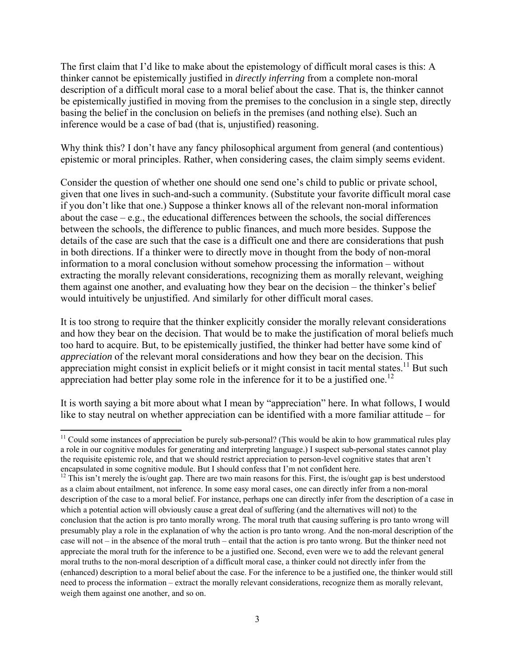The first claim that I'd like to make about the epistemology of difficult moral cases is this: A thinker cannot be epistemically justified in *directly inferring* from a complete non-moral description of a difficult moral case to a moral belief about the case. That is, the thinker cannot be epistemically justified in moving from the premises to the conclusion in a single step, directly basing the belief in the conclusion on beliefs in the premises (and nothing else). Such an inference would be a case of bad (that is, unjustified) reasoning.

Why think this? I don't have any fancy philosophical argument from general (and contentious) epistemic or moral principles. Rather, when considering cases, the claim simply seems evident.

Consider the question of whether one should one send one's child to public or private school, given that one lives in such-and-such a community. (Substitute your favorite difficult moral case if you don't like that one.) Suppose a thinker knows all of the relevant non-moral information about the case – e.g., the educational differences between the schools, the social differences between the schools, the difference to public finances, and much more besides. Suppose the details of the case are such that the case is a difficult one and there are considerations that push in both directions. If a thinker were to directly move in thought from the body of non-moral information to a moral conclusion without somehow processing the information – without extracting the morally relevant considerations, recognizing them as morally relevant, weighing them against one another, and evaluating how they bear on the decision – the thinker's belief would intuitively be unjustified. And similarly for other difficult moral cases.

It is too strong to require that the thinker explicitly consider the morally relevant considerations and how they bear on the decision. That would be to make the justification of moral beliefs much too hard to acquire. But, to be epistemically justified, the thinker had better have some kind of *appreciation* of the relevant moral considerations and how they bear on the decision. This appreciation might consist in explicit beliefs or it might consist in tacit mental states.<sup>11</sup> But such appreciation had better play some role in the inference for it to be a justified one.<sup>12</sup>

It is worth saying a bit more about what I mean by "appreciation" here. In what follows, I would like to stay neutral on whether appreciation can be identified with a more familiar attitude – for

 $11$  Could some instances of appreciation be purely sub-personal? (This would be akin to how grammatical rules play a role in our cognitive modules for generating and interpreting language.) I suspect sub-personal states cannot play the requisite epistemic role, and that we should restrict appreciation to person-level cognitive states that aren't encapsulated in some cognitive module. But I should confess that I'm not confident here.<br><sup>12</sup> This isn't merely the is/ought gap. There are two main reasons for this. First, the is/ought gap is best understood

as a claim about entailment, not inference. In some easy moral cases, one can directly infer from a non-moral description of the case to a moral belief. For instance, perhaps one can directly infer from the description of a case in which a potential action will obviously cause a great deal of suffering (and the alternatives will not) to the conclusion that the action is pro tanto morally wrong. The moral truth that causing suffering is pro tanto wrong will presumably play a role in the explanation of why the action is pro tanto wrong. And the non-moral description of the case will not – in the absence of the moral truth – entail that the action is pro tanto wrong. But the thinker need not appreciate the moral truth for the inference to be a justified one. Second, even were we to add the relevant general moral truths to the non-moral description of a difficult moral case, a thinker could not directly infer from the (enhanced) description to a moral belief about the case. For the inference to be a justified one, the thinker would still need to process the information – extract the morally relevant considerations, recognize them as morally relevant, weigh them against one another, and so on.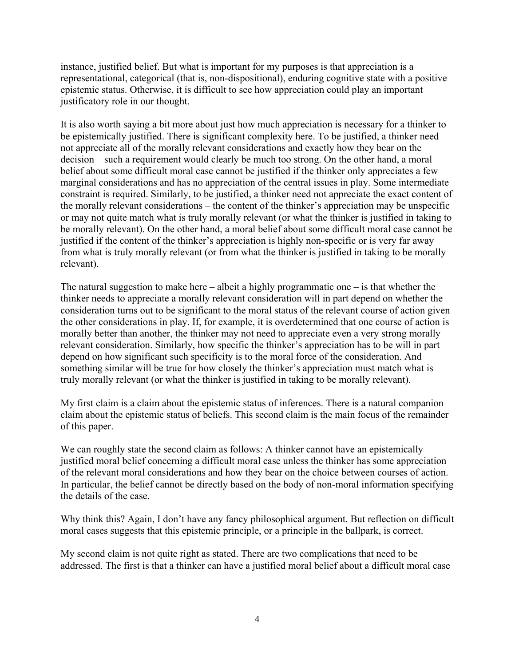instance, justified belief. But what is important for my purposes is that appreciation is a representational, categorical (that is, non-dispositional), enduring cognitive state with a positive epistemic status. Otherwise, it is difficult to see how appreciation could play an important justificatory role in our thought.

It is also worth saying a bit more about just how much appreciation is necessary for a thinker to be epistemically justified. There is significant complexity here. To be justified, a thinker need not appreciate all of the morally relevant considerations and exactly how they bear on the decision – such a requirement would clearly be much too strong. On the other hand, a moral belief about some difficult moral case cannot be justified if the thinker only appreciates a few marginal considerations and has no appreciation of the central issues in play. Some intermediate constraint is required. Similarly, to be justified, a thinker need not appreciate the exact content of the morally relevant considerations – the content of the thinker's appreciation may be unspecific or may not quite match what is truly morally relevant (or what the thinker is justified in taking to be morally relevant). On the other hand, a moral belief about some difficult moral case cannot be justified if the content of the thinker's appreciation is highly non-specific or is very far away from what is truly morally relevant (or from what the thinker is justified in taking to be morally relevant).

The natural suggestion to make here – albeit a highly programmatic one – is that whether the thinker needs to appreciate a morally relevant consideration will in part depend on whether the consideration turns out to be significant to the moral status of the relevant course of action given the other considerations in play. If, for example, it is overdetermined that one course of action is morally better than another, the thinker may not need to appreciate even a very strong morally relevant consideration. Similarly, how specific the thinker's appreciation has to be will in part depend on how significant such specificity is to the moral force of the consideration. And something similar will be true for how closely the thinker's appreciation must match what is truly morally relevant (or what the thinker is justified in taking to be morally relevant).

My first claim is a claim about the epistemic status of inferences. There is a natural companion claim about the epistemic status of beliefs. This second claim is the main focus of the remainder of this paper.

We can roughly state the second claim as follows: A thinker cannot have an epistemically justified moral belief concerning a difficult moral case unless the thinker has some appreciation of the relevant moral considerations and how they bear on the choice between courses of action. In particular, the belief cannot be directly based on the body of non-moral information specifying the details of the case.

Why think this? Again, I don't have any fancy philosophical argument. But reflection on difficult moral cases suggests that this epistemic principle, or a principle in the ballpark, is correct.

My second claim is not quite right as stated. There are two complications that need to be addressed. The first is that a thinker can have a justified moral belief about a difficult moral case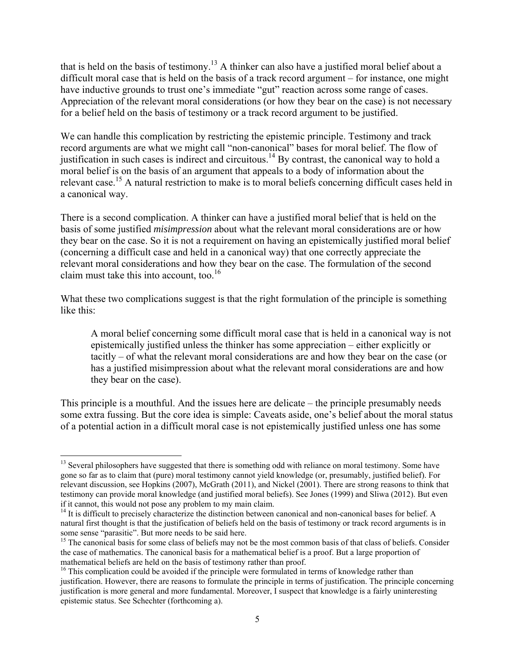that is held on the basis of testimony.<sup>13</sup> A thinker can also have a justified moral belief about a difficult moral case that is held on the basis of a track record argument – for instance, one might have inductive grounds to trust one's immediate "gut" reaction across some range of cases. Appreciation of the relevant moral considerations (or how they bear on the case) is not necessary for a belief held on the basis of testimony or a track record argument to be justified.

We can handle this complication by restricting the epistemic principle. Testimony and track record arguments are what we might call "non-canonical" bases for moral belief. The flow of justification in such cases is indirect and circuitous.<sup>14</sup> By contrast, the canonical way to hold a moral belief is on the basis of an argument that appeals to a body of information about the relevant case.15 A natural restriction to make is to moral beliefs concerning difficult cases held in a canonical way.

There is a second complication. A thinker can have a justified moral belief that is held on the basis of some justified *misimpression* about what the relevant moral considerations are or how they bear on the case. So it is not a requirement on having an epistemically justified moral belief (concerning a difficult case and held in a canonical way) that one correctly appreciate the relevant moral considerations and how they bear on the case. The formulation of the second claim must take this into account, too.<sup>16</sup>

What these two complications suggest is that the right formulation of the principle is something like this:

A moral belief concerning some difficult moral case that is held in a canonical way is not epistemically justified unless the thinker has some appreciation – either explicitly or tacitly – of what the relevant moral considerations are and how they bear on the case (or has a justified misimpression about what the relevant moral considerations are and how they bear on the case).

This principle is a mouthful. And the issues here are delicate – the principle presumably needs some extra fussing. But the core idea is simple: Caveats aside, one's belief about the moral status of a potential action in a difficult moral case is not epistemically justified unless one has some

 <sup>13</sup> Several philosophers have suggested that there is something odd with reliance on moral testimony. Some have gone so far as to claim that (pure) moral testimony cannot yield knowledge (or, presumably, justified belief). For relevant discussion, see Hopkins (2007), McGrath (2011), and Nickel (2001). There are strong reasons to think that testimony can provide moral knowledge (and justified moral beliefs). See Jones (1999) and Sliwa (2012). But even

if it cannot, this would not pose any problem to my main claim.<br><sup>14</sup> It is difficult to precisely characterize the distinction between canonical and non-canonical bases for belief. A natural first thought is that the justification of beliefs held on the basis of testimony or track record arguments is in some sense "parasitic". But more needs to be said here.

<sup>&</sup>lt;sup>15</sup> The canonical basis for some class of beliefs may not be the most common basis of that class of beliefs. Consider the case of mathematics. The canonical basis for a mathematical belief is a proof. But a large proportion of mathematical beliefs are held on the basis of testimony rather than proof.

 $16$  This complication could be avoided if the principle were formulated in terms of knowledge rather than justification. However, there are reasons to formulate the principle in terms of justification. The principle concerning justification is more general and more fundamental. Moreover, I suspect that knowledge is a fairly uninteresting epistemic status. See Schechter (forthcoming a).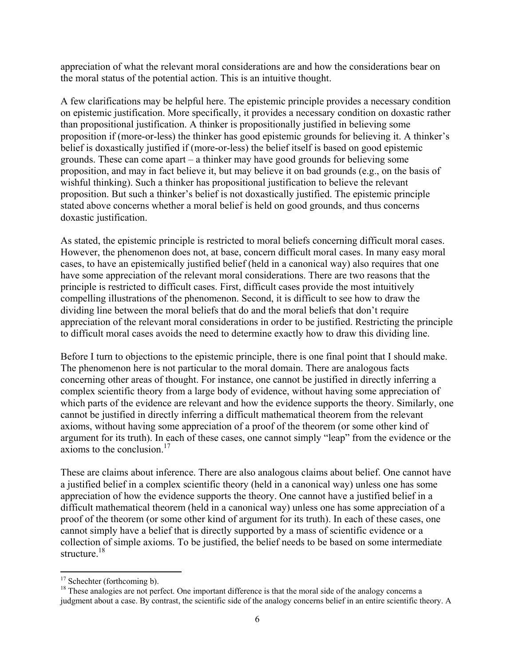appreciation of what the relevant moral considerations are and how the considerations bear on the moral status of the potential action. This is an intuitive thought.

A few clarifications may be helpful here. The epistemic principle provides a necessary condition on epistemic justification. More specifically, it provides a necessary condition on doxastic rather than propositional justification. A thinker is propositionally justified in believing some proposition if (more-or-less) the thinker has good epistemic grounds for believing it. A thinker's belief is doxastically justified if (more-or-less) the belief itself is based on good epistemic grounds. These can come apart – a thinker may have good grounds for believing some proposition, and may in fact believe it, but may believe it on bad grounds (e.g., on the basis of wishful thinking). Such a thinker has propositional justification to believe the relevant proposition. But such a thinker's belief is not doxastically justified. The epistemic principle stated above concerns whether a moral belief is held on good grounds, and thus concerns doxastic justification.

As stated, the epistemic principle is restricted to moral beliefs concerning difficult moral cases. However, the phenomenon does not, at base, concern difficult moral cases. In many easy moral cases, to have an epistemically justified belief (held in a canonical way) also requires that one have some appreciation of the relevant moral considerations. There are two reasons that the principle is restricted to difficult cases. First, difficult cases provide the most intuitively compelling illustrations of the phenomenon. Second, it is difficult to see how to draw the dividing line between the moral beliefs that do and the moral beliefs that don't require appreciation of the relevant moral considerations in order to be justified. Restricting the principle to difficult moral cases avoids the need to determine exactly how to draw this dividing line.

Before I turn to objections to the epistemic principle, there is one final point that I should make. The phenomenon here is not particular to the moral domain. There are analogous facts concerning other areas of thought. For instance, one cannot be justified in directly inferring a complex scientific theory from a large body of evidence, without having some appreciation of which parts of the evidence are relevant and how the evidence supports the theory. Similarly, one cannot be justified in directly inferring a difficult mathematical theorem from the relevant axioms, without having some appreciation of a proof of the theorem (or some other kind of argument for its truth). In each of these cases, one cannot simply "leap" from the evidence or the axioms to the conclusion. $17$ 

These are claims about inference. There are also analogous claims about belief. One cannot have a justified belief in a complex scientific theory (held in a canonical way) unless one has some appreciation of how the evidence supports the theory. One cannot have a justified belief in a difficult mathematical theorem (held in a canonical way) unless one has some appreciation of a proof of the theorem (or some other kind of argument for its truth). In each of these cases, one cannot simply have a belief that is directly supported by a mass of scientific evidence or a collection of simple axioms. To be justified, the belief needs to be based on some intermediate structure. $18$ 

 $17$  Schechter (forthcoming b).

<sup>&</sup>lt;sup>18</sup> These analogies are not perfect. One important difference is that the moral side of the analogy concerns a judgment about a case. By contrast, the scientific side of the analogy concerns belief in an entire scientific theory. A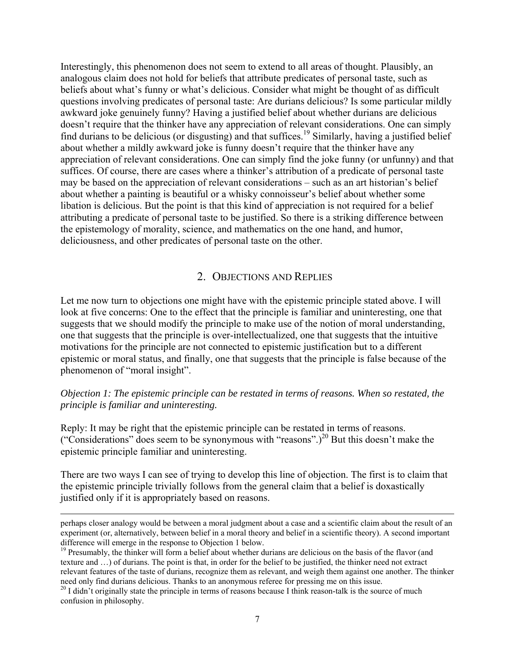Interestingly, this phenomenon does not seem to extend to all areas of thought. Plausibly, an analogous claim does not hold for beliefs that attribute predicates of personal taste, such as beliefs about what's funny or what's delicious. Consider what might be thought of as difficult questions involving predicates of personal taste: Are durians delicious? Is some particular mildly awkward joke genuinely funny? Having a justified belief about whether durians are delicious doesn't require that the thinker have any appreciation of relevant considerations. One can simply find durians to be delicious (or disgusting) and that suffices.<sup>19</sup> Similarly, having a justified belief about whether a mildly awkward joke is funny doesn't require that the thinker have any appreciation of relevant considerations. One can simply find the joke funny (or unfunny) and that suffices. Of course, there are cases where a thinker's attribution of a predicate of personal taste may be based on the appreciation of relevant considerations – such as an art historian's belief about whether a painting is beautiful or a whisky connoisseur's belief about whether some libation is delicious. But the point is that this kind of appreciation is not required for a belief attributing a predicate of personal taste to be justified. So there is a striking difference between the epistemology of morality, science, and mathematics on the one hand, and humor, deliciousness, and other predicates of personal taste on the other.

#### 2. OBJECTIONS AND REPLIES

Let me now turn to objections one might have with the epistemic principle stated above. I will look at five concerns: One to the effect that the principle is familiar and uninteresting, one that suggests that we should modify the principle to make use of the notion of moral understanding, one that suggests that the principle is over-intellectualized, one that suggests that the intuitive motivations for the principle are not connected to epistemic justification but to a different epistemic or moral status, and finally, one that suggests that the principle is false because of the phenomenon of "moral insight".

#### *Objection 1: The epistemic principle can be restated in terms of reasons. When so restated, the principle is familiar and uninteresting.*

Reply: It may be right that the epistemic principle can be restated in terms of reasons. ("Considerations" does seem to be synonymous with "reasons".)<sup>20</sup> But this doesn't make the epistemic principle familiar and uninteresting.

There are two ways I can see of trying to develop this line of objection. The first is to claim that the epistemic principle trivially follows from the general claim that a belief is doxastically justified only if it is appropriately based on reasons.

<u> 1989 - Johann Stein, marwolaethau a gweledydd a ganlad y ganlad y ganlad y ganlad y ganlad y ganlad y ganlad</u>

perhaps closer analogy would be between a moral judgment about a case and a scientific claim about the result of an experiment (or, alternatively, between belief in a moral theory and belief in a scientific theory). A second important difference will emerge in the response to Objection 1 below.

<sup>&</sup>lt;sup>19</sup> Presumably, the thinker will form a belief about whether durians are delicious on the basis of the flavor (and texture and …) of durians. The point is that, in order for the belief to be justified, the thinker need not extract relevant features of the taste of durians, recognize them as relevant, and weigh them against one another. The thinker need only find durians delicious. Thanks to an anonymous referee for pressing me on this issue.

 $20$  I didn't originally state the principle in terms of reasons because I think reason-talk is the source of much confusion in philosophy.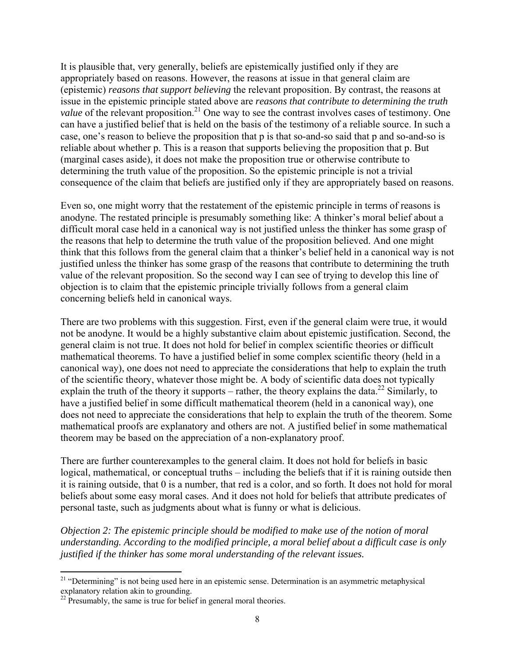It is plausible that, very generally, beliefs are epistemically justified only if they are appropriately based on reasons. However, the reasons at issue in that general claim are (epistemic) *reasons that support believing* the relevant proposition. By contrast, the reasons at issue in the epistemic principle stated above are *reasons that contribute to determining the truth value* of the relevant proposition.<sup>21</sup> One way to see the contrast involves cases of testimony. One can have a justified belief that is held on the basis of the testimony of a reliable source. In such a case, one's reason to believe the proposition that p is that so-and-so said that p and so-and-so is reliable about whether p. This is a reason that supports believing the proposition that p. But (marginal cases aside), it does not make the proposition true or otherwise contribute to determining the truth value of the proposition. So the epistemic principle is not a trivial consequence of the claim that beliefs are justified only if they are appropriately based on reasons.

Even so, one might worry that the restatement of the epistemic principle in terms of reasons is anodyne. The restated principle is presumably something like: A thinker's moral belief about a difficult moral case held in a canonical way is not justified unless the thinker has some grasp of the reasons that help to determine the truth value of the proposition believed. And one might think that this follows from the general claim that a thinker's belief held in a canonical way is not justified unless the thinker has some grasp of the reasons that contribute to determining the truth value of the relevant proposition. So the second way I can see of trying to develop this line of objection is to claim that the epistemic principle trivially follows from a general claim concerning beliefs held in canonical ways.

There are two problems with this suggestion. First, even if the general claim were true, it would not be anodyne. It would be a highly substantive claim about epistemic justification. Second, the general claim is not true. It does not hold for belief in complex scientific theories or difficult mathematical theorems. To have a justified belief in some complex scientific theory (held in a canonical way), one does not need to appreciate the considerations that help to explain the truth of the scientific theory, whatever those might be. A body of scientific data does not typically explain the truth of the theory it supports – rather, the theory explains the data.<sup>22</sup> Similarly, to have a justified belief in some difficult mathematical theorem (held in a canonical way), one does not need to appreciate the considerations that help to explain the truth of the theorem. Some mathematical proofs are explanatory and others are not. A justified belief in some mathematical theorem may be based on the appreciation of a non-explanatory proof.

There are further counterexamples to the general claim. It does not hold for beliefs in basic logical, mathematical, or conceptual truths – including the beliefs that if it is raining outside then it is raining outside, that 0 is a number, that red is a color, and so forth. It does not hold for moral beliefs about some easy moral cases. And it does not hold for beliefs that attribute predicates of personal taste, such as judgments about what is funny or what is delicious.

*Objection 2: The epistemic principle should be modified to make use of the notion of moral understanding. According to the modified principle, a moral belief about a difficult case is only justified if the thinker has some moral understanding of the relevant issues.* 

<sup>&</sup>lt;sup>21</sup> "Determining" is not being used here in an epistemic sense. Determination is an asymmetric metaphysical explanatory relation akin to grounding.

 $^{22}$  Presumably, the same is true for belief in general moral theories.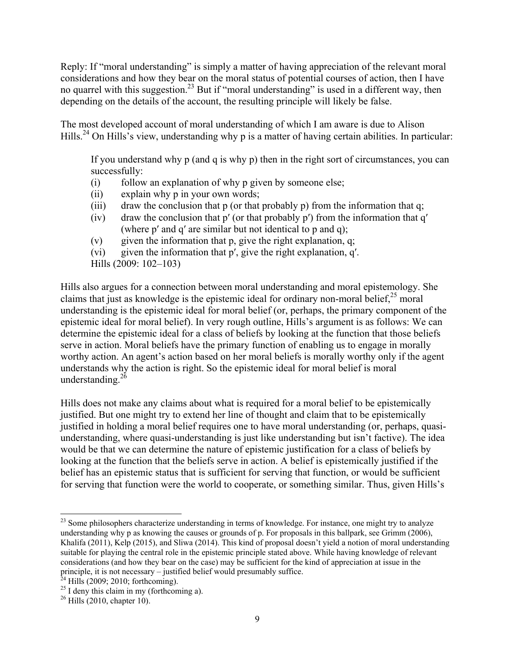Reply: If "moral understanding" is simply a matter of having appreciation of the relevant moral considerations and how they bear on the moral status of potential courses of action, then I have no quarrel with this suggestion.<sup>23</sup> But if "moral understanding" is used in a different way, then depending on the details of the account, the resulting principle will likely be false.

The most developed account of moral understanding of which I am aware is due to Alison Hills.<sup>24</sup> On Hills's view, understanding why p is a matter of having certain abilities. In particular:

If you understand why p (and q is why p) then in the right sort of circumstances, you can successfully:

- (i) follow an explanation of why p given by someone else;
- (ii) explain why p in your own words;
- (iii) draw the conclusion that  $p$  (or that probably  $p$ ) from the information that q;
- (iv) draw the conclusion that p′ (or that probably p′) from the information that q′ (where p′ and q′ are similar but not identical to p and q);
- $(v)$  given the information that p, give the right explanation, q;
- (vi) given the information that  $p'$ , give the right explanation,  $q'$ .
- Hills (2009: 102–103)

Hills also argues for a connection between moral understanding and moral epistemology. She claims that just as knowledge is the epistemic ideal for ordinary non-moral belief,  $2^5$  moral understanding is the epistemic ideal for moral belief (or, perhaps, the primary component of the epistemic ideal for moral belief). In very rough outline, Hills's argument is as follows: We can determine the epistemic ideal for a class of beliefs by looking at the function that those beliefs serve in action. Moral beliefs have the primary function of enabling us to engage in morally worthy action. An agent's action based on her moral beliefs is morally worthy only if the agent understands why the action is right. So the epistemic ideal for moral belief is moral understanding. $^{26}$ 

Hills does not make any claims about what is required for a moral belief to be epistemically justified. But one might try to extend her line of thought and claim that to be epistemically justified in holding a moral belief requires one to have moral understanding (or, perhaps, quasiunderstanding, where quasi-understanding is just like understanding but isn't factive). The idea would be that we can determine the nature of epistemic justification for a class of beliefs by looking at the function that the beliefs serve in action. A belief is epistemically justified if the belief has an epistemic status that is sufficient for serving that function, or would be sufficient for serving that function were the world to cooperate, or something similar. Thus, given Hills's

 <sup>23</sup> Some philosophers characterize understanding in terms of knowledge. For instance, one might try to analyze understanding why p as knowing the causes or grounds of p. For proposals in this ballpark, see Grimm (2006), Khalifa (2011), Kelp (2015), and Sliwa (2014). This kind of proposal doesn't yield a notion of moral understanding suitable for playing the central role in the epistemic principle stated above. While having knowledge of relevant considerations (and how they bear on the case) may be sufficient for the kind of appreciation at issue in the principle, it is not necessary – justified belief would presumably suffice. 24 Hills (2009; 2010; forthcoming).

 $^{25}$  I deny this claim in my (forthcoming a).

 $^{26}$  Hills (2010, chapter 10).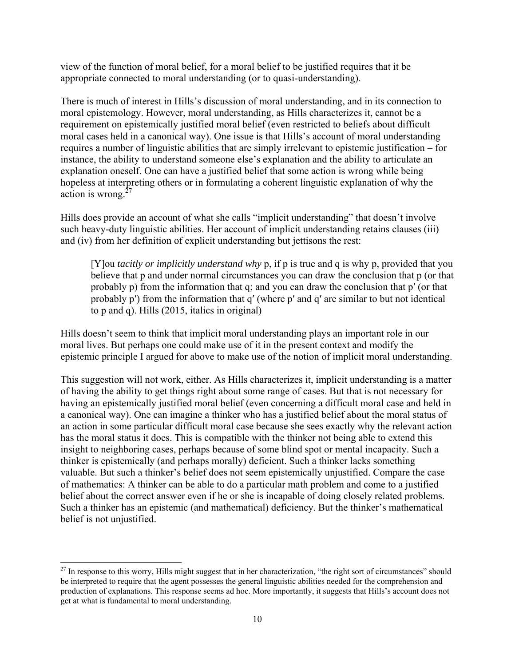view of the function of moral belief, for a moral belief to be justified requires that it be appropriate connected to moral understanding (or to quasi-understanding).

There is much of interest in Hills's discussion of moral understanding, and in its connection to moral epistemology. However, moral understanding, as Hills characterizes it, cannot be a requirement on epistemically justified moral belief (even restricted to beliefs about difficult moral cases held in a canonical way). One issue is that Hills's account of moral understanding requires a number of linguistic abilities that are simply irrelevant to epistemic justification – for instance, the ability to understand someone else's explanation and the ability to articulate an explanation oneself. One can have a justified belief that some action is wrong while being hopeless at interpreting others or in formulating a coherent linguistic explanation of why the action is wrong. $27$ 

Hills does provide an account of what she calls "implicit understanding" that doesn't involve such heavy-duty linguistic abilities. Her account of implicit understanding retains clauses (iii) and (iv) from her definition of explicit understanding but jettisons the rest:

[Y]ou *tacitly or implicitly understand why* p, if p is true and q is why p, provided that you believe that p and under normal circumstances you can draw the conclusion that p (or that probably p) from the information that q; and you can draw the conclusion that p′ (or that probably p′) from the information that q′ (where p′ and q′ are similar to but not identical to p and q). Hills (2015, italics in original)

Hills doesn't seem to think that implicit moral understanding plays an important role in our moral lives. But perhaps one could make use of it in the present context and modify the epistemic principle I argued for above to make use of the notion of implicit moral understanding.

This suggestion will not work, either. As Hills characterizes it, implicit understanding is a matter of having the ability to get things right about some range of cases. But that is not necessary for having an epistemically justified moral belief (even concerning a difficult moral case and held in a canonical way). One can imagine a thinker who has a justified belief about the moral status of an action in some particular difficult moral case because she sees exactly why the relevant action has the moral status it does. This is compatible with the thinker not being able to extend this insight to neighboring cases, perhaps because of some blind spot or mental incapacity. Such a thinker is epistemically (and perhaps morally) deficient. Such a thinker lacks something valuable. But such a thinker's belief does not seem epistemically unjustified. Compare the case of mathematics: A thinker can be able to do a particular math problem and come to a justified belief about the correct answer even if he or she is incapable of doing closely related problems. Such a thinker has an epistemic (and mathematical) deficiency. But the thinker's mathematical belief is not unjustified.

 $27$  In response to this worry, Hills might suggest that in her characterization, "the right sort of circumstances" should be interpreted to require that the agent possesses the general linguistic abilities needed for the comprehension and production of explanations. This response seems ad hoc. More importantly, it suggests that Hills's account does not get at what is fundamental to moral understanding.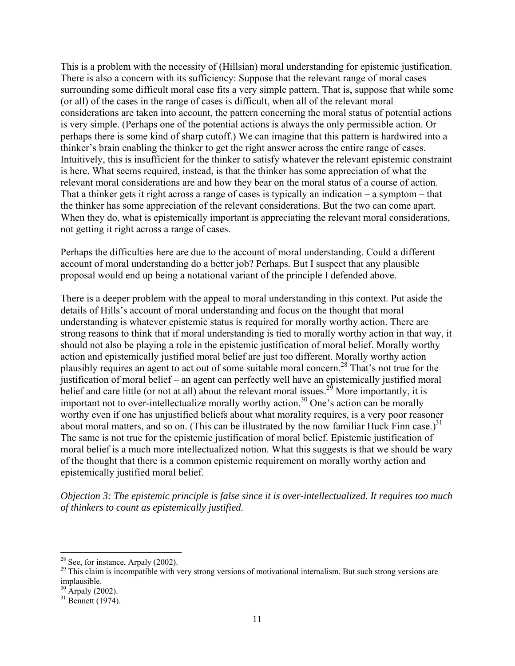This is a problem with the necessity of (Hillsian) moral understanding for epistemic justification. There is also a concern with its sufficiency: Suppose that the relevant range of moral cases surrounding some difficult moral case fits a very simple pattern. That is, suppose that while some (or all) of the cases in the range of cases is difficult, when all of the relevant moral considerations are taken into account, the pattern concerning the moral status of potential actions is very simple. (Perhaps one of the potential actions is always the only permissible action. Or perhaps there is some kind of sharp cutoff.) We can imagine that this pattern is hardwired into a thinker's brain enabling the thinker to get the right answer across the entire range of cases. Intuitively, this is insufficient for the thinker to satisfy whatever the relevant epistemic constraint is here. What seems required, instead, is that the thinker has some appreciation of what the relevant moral considerations are and how they bear on the moral status of a course of action. That a thinker gets it right across a range of cases is typically an indication – a symptom – that the thinker has some appreciation of the relevant considerations. But the two can come apart. When they do, what is epistemically important is appreciating the relevant moral considerations, not getting it right across a range of cases.

Perhaps the difficulties here are due to the account of moral understanding. Could a different account of moral understanding do a better job? Perhaps. But I suspect that any plausible proposal would end up being a notational variant of the principle I defended above.

There is a deeper problem with the appeal to moral understanding in this context. Put aside the details of Hills's account of moral understanding and focus on the thought that moral understanding is whatever epistemic status is required for morally worthy action. There are strong reasons to think that if moral understanding is tied to morally worthy action in that way, it should not also be playing a role in the epistemic justification of moral belief. Morally worthy action and epistemically justified moral belief are just too different. Morally worthy action plausibly requires an agent to act out of some suitable moral concern.<sup>28</sup> That's not true for the justification of moral belief – an agent can perfectly well have an epistemically justified moral belief and care little (or not at all) about the relevant moral issues.<sup>29</sup> More importantly, it is important not to over-intellectualize morally worthy action.<sup>30</sup> One's action can be morally worthy even if one has unjustified beliefs about what morality requires, is a very poor reasoner about moral matters, and so on. (This can be illustrated by the now familiar Huck Finn case.)<sup>31</sup> The same is not true for the epistemic justification of moral belief. Epistemic justification of moral belief is a much more intellectualized notion. What this suggests is that we should be wary of the thought that there is a common epistemic requirement on morally worthy action and epistemically justified moral belief.

*Objection 3: The epistemic principle is false since it is over-intellectualized. It requires too much of thinkers to count as epistemically justified.* 

  $2^8$  See, for instance, Arpaly (2002).

 $29$  This claim is incompatible with very strong versions of motivational internalism. But such strong versions are implausible.

 $30$  Arpaly (2002).

 $31$  Bennett (1974).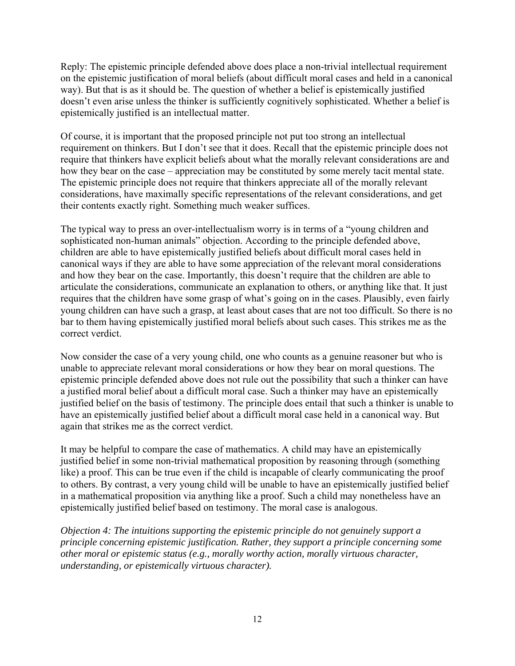Reply: The epistemic principle defended above does place a non-trivial intellectual requirement on the epistemic justification of moral beliefs (about difficult moral cases and held in a canonical way). But that is as it should be. The question of whether a belief is epistemically justified doesn't even arise unless the thinker is sufficiently cognitively sophisticated. Whether a belief is epistemically justified is an intellectual matter.

Of course, it is important that the proposed principle not put too strong an intellectual requirement on thinkers. But I don't see that it does. Recall that the epistemic principle does not require that thinkers have explicit beliefs about what the morally relevant considerations are and how they bear on the case – appreciation may be constituted by some merely tacit mental state. The epistemic principle does not require that thinkers appreciate all of the morally relevant considerations, have maximally specific representations of the relevant considerations, and get their contents exactly right. Something much weaker suffices.

The typical way to press an over-intellectualism worry is in terms of a "young children and sophisticated non-human animals" objection. According to the principle defended above, children are able to have epistemically justified beliefs about difficult moral cases held in canonical ways if they are able to have some appreciation of the relevant moral considerations and how they bear on the case. Importantly, this doesn't require that the children are able to articulate the considerations, communicate an explanation to others, or anything like that. It just requires that the children have some grasp of what's going on in the cases. Plausibly, even fairly young children can have such a grasp, at least about cases that are not too difficult. So there is no bar to them having epistemically justified moral beliefs about such cases. This strikes me as the correct verdict.

Now consider the case of a very young child, one who counts as a genuine reasoner but who is unable to appreciate relevant moral considerations or how they bear on moral questions. The epistemic principle defended above does not rule out the possibility that such a thinker can have a justified moral belief about a difficult moral case. Such a thinker may have an epistemically justified belief on the basis of testimony. The principle does entail that such a thinker is unable to have an epistemically justified belief about a difficult moral case held in a canonical way. But again that strikes me as the correct verdict.

It may be helpful to compare the case of mathematics. A child may have an epistemically justified belief in some non-trivial mathematical proposition by reasoning through (something like) a proof. This can be true even if the child is incapable of clearly communicating the proof to others. By contrast, a very young child will be unable to have an epistemically justified belief in a mathematical proposition via anything like a proof. Such a child may nonetheless have an epistemically justified belief based on testimony. The moral case is analogous.

*Objection 4: The intuitions supporting the epistemic principle do not genuinely support a principle concerning epistemic justification. Rather, they support a principle concerning some other moral or epistemic status (e.g., morally worthy action, morally virtuous character, understanding, or epistemically virtuous character).*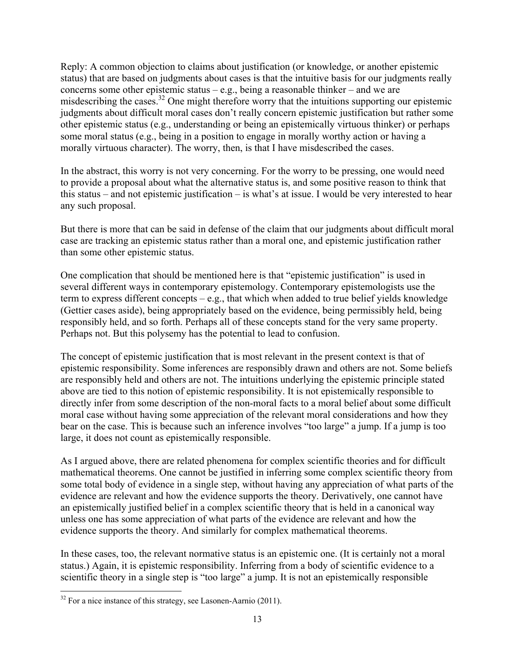Reply: A common objection to claims about justification (or knowledge, or another epistemic status) that are based on judgments about cases is that the intuitive basis for our judgments really concerns some other epistemic status – e.g., being a reasonable thinker – and we are misdescribing the cases.<sup>32</sup> One might therefore worry that the intuitions supporting our epistemic judgments about difficult moral cases don't really concern epistemic justification but rather some other epistemic status (e.g., understanding or being an epistemically virtuous thinker) or perhaps some moral status (e.g., being in a position to engage in morally worthy action or having a morally virtuous character). The worry, then, is that I have misdescribed the cases.

In the abstract, this worry is not very concerning. For the worry to be pressing, one would need to provide a proposal about what the alternative status is, and some positive reason to think that this status – and not epistemic justification – is what's at issue. I would be very interested to hear any such proposal.

But there is more that can be said in defense of the claim that our judgments about difficult moral case are tracking an epistemic status rather than a moral one, and epistemic justification rather than some other epistemic status.

One complication that should be mentioned here is that "epistemic justification" is used in several different ways in contemporary epistemology. Contemporary epistemologists use the term to express different concepts – e.g., that which when added to true belief yields knowledge (Gettier cases aside), being appropriately based on the evidence, being permissibly held, being responsibly held, and so forth. Perhaps all of these concepts stand for the very same property. Perhaps not. But this polysemy has the potential to lead to confusion.

The concept of epistemic justification that is most relevant in the present context is that of epistemic responsibility. Some inferences are responsibly drawn and others are not. Some beliefs are responsibly held and others are not. The intuitions underlying the epistemic principle stated above are tied to this notion of epistemic responsibility. It is not epistemically responsible to directly infer from some description of the non-moral facts to a moral belief about some difficult moral case without having some appreciation of the relevant moral considerations and how they bear on the case. This is because such an inference involves "too large" a jump. If a jump is too large, it does not count as epistemically responsible.

As I argued above, there are related phenomena for complex scientific theories and for difficult mathematical theorems. One cannot be justified in inferring some complex scientific theory from some total body of evidence in a single step, without having any appreciation of what parts of the evidence are relevant and how the evidence supports the theory. Derivatively, one cannot have an epistemically justified belief in a complex scientific theory that is held in a canonical way unless one has some appreciation of what parts of the evidence are relevant and how the evidence supports the theory. And similarly for complex mathematical theorems.

In these cases, too, the relevant normative status is an epistemic one. (It is certainly not a moral status.) Again, it is epistemic responsibility. Inferring from a body of scientific evidence to a scientific theory in a single step is "too large" a jump. It is not an epistemically responsible

  $32$  For a nice instance of this strategy, see Lasonen-Aarnio (2011).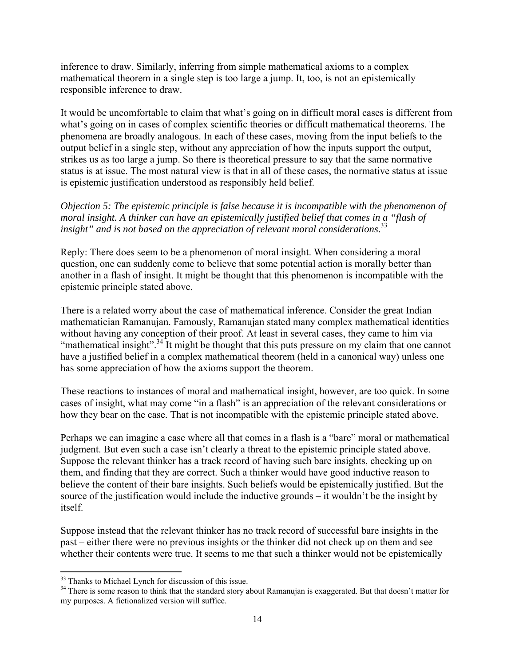inference to draw. Similarly, inferring from simple mathematical axioms to a complex mathematical theorem in a single step is too large a jump. It, too, is not an epistemically responsible inference to draw.

It would be uncomfortable to claim that what's going on in difficult moral cases is different from what's going on in cases of complex scientific theories or difficult mathematical theorems. The phenomena are broadly analogous. In each of these cases, moving from the input beliefs to the output belief in a single step, without any appreciation of how the inputs support the output, strikes us as too large a jump. So there is theoretical pressure to say that the same normative status is at issue. The most natural view is that in all of these cases, the normative status at issue is epistemic justification understood as responsibly held belief.

*Objection 5: The epistemic principle is false because it is incompatible with the phenomenon of moral insight. A thinker can have an epistemically justified belief that comes in a "flash of*  insight" and is not based on the appreciation of relevant moral considerations.<sup>33</sup>

Reply: There does seem to be a phenomenon of moral insight. When considering a moral question, one can suddenly come to believe that some potential action is morally better than another in a flash of insight. It might be thought that this phenomenon is incompatible with the epistemic principle stated above.

There is a related worry about the case of mathematical inference. Consider the great Indian mathematician Ramanujan. Famously, Ramanujan stated many complex mathematical identities without having any conception of their proof. At least in several cases, they came to him via "mathematical insight".<sup>34</sup> It might be thought that this puts pressure on my claim that one cannot have a justified belief in a complex mathematical theorem (held in a canonical way) unless one has some appreciation of how the axioms support the theorem.

These reactions to instances of moral and mathematical insight, however, are too quick. In some cases of insight, what may come "in a flash" is an appreciation of the relevant considerations or how they bear on the case. That is not incompatible with the epistemic principle stated above.

Perhaps we can imagine a case where all that comes in a flash is a "bare" moral or mathematical judgment. But even such a case isn't clearly a threat to the epistemic principle stated above. Suppose the relevant thinker has a track record of having such bare insights, checking up on them, and finding that they are correct. Such a thinker would have good inductive reason to believe the content of their bare insights. Such beliefs would be epistemically justified. But the source of the justification would include the inductive grounds – it wouldn't be the insight by itself.

Suppose instead that the relevant thinker has no track record of successful bare insights in the past – either there were no previous insights or the thinker did not check up on them and see whether their contents were true. It seems to me that such a thinker would not be epistemically

<sup>&</sup>lt;sup>33</sup> Thanks to Michael Lynch for discussion of this issue.

<sup>&</sup>lt;sup>34</sup> There is some reason to think that the standard story about Ramanujan is exaggerated. But that doesn't matter for my purposes. A fictionalized version will suffice.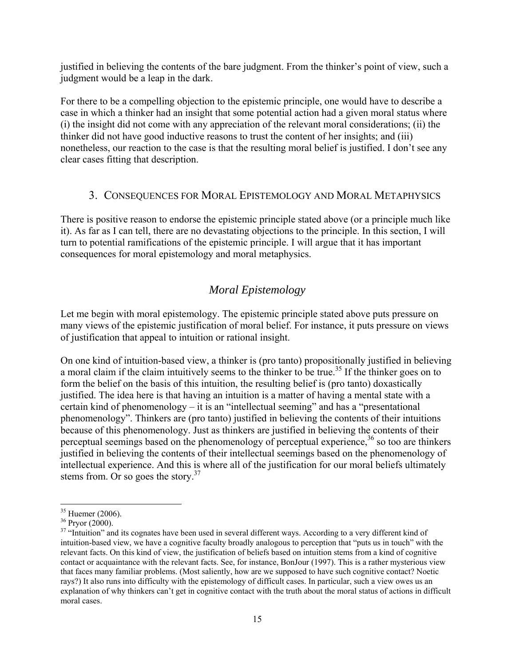justified in believing the contents of the bare judgment. From the thinker's point of view, such a judgment would be a leap in the dark.

For there to be a compelling objection to the epistemic principle, one would have to describe a case in which a thinker had an insight that some potential action had a given moral status where (i) the insight did not come with any appreciation of the relevant moral considerations; (ii) the thinker did not have good inductive reasons to trust the content of her insights; and (iii) nonetheless, our reaction to the case is that the resulting moral belief is justified. I don't see any clear cases fitting that description.

#### 3. CONSEQUENCES FOR MORAL EPISTEMOLOGY AND MORAL METAPHYSICS

There is positive reason to endorse the epistemic principle stated above (or a principle much like it). As far as I can tell, there are no devastating objections to the principle. In this section, I will turn to potential ramifications of the epistemic principle. I will argue that it has important consequences for moral epistemology and moral metaphysics.

## *Moral Epistemology*

Let me begin with moral epistemology. The epistemic principle stated above puts pressure on many views of the epistemic justification of moral belief. For instance, it puts pressure on views of justification that appeal to intuition or rational insight.

On one kind of intuition-based view, a thinker is (pro tanto) propositionally justified in believing a moral claim if the claim intuitively seems to the thinker to be true.<sup>35</sup> If the thinker goes on to form the belief on the basis of this intuition, the resulting belief is (pro tanto) doxastically justified. The idea here is that having an intuition is a matter of having a mental state with a certain kind of phenomenology – it is an "intellectual seeming" and has a "presentational phenomenology". Thinkers are (pro tanto) justified in believing the contents of their intuitions because of this phenomenology. Just as thinkers are justified in believing the contents of their perceptual seemings based on the phenomenology of perceptual experience, $36$  so too are thinkers justified in believing the contents of their intellectual seemings based on the phenomenology of intellectual experience. And this is where all of the justification for our moral beliefs ultimately stems from. Or so goes the story. $37$ 

 <sup>35</sup> Huemer (2006).

 $36$  Pryor (2000).

<sup>&</sup>lt;sup>37</sup> "Intuition" and its cognates have been used in several different ways. According to a very different kind of intuition-based view, we have a cognitive faculty broadly analogous to perception that "puts us in touch" with the relevant facts. On this kind of view, the justification of beliefs based on intuition stems from a kind of cognitive contact or acquaintance with the relevant facts. See, for instance, BonJour (1997). This is a rather mysterious view that faces many familiar problems. (Most saliently, how are we supposed to have such cognitive contact? Noetic rays?) It also runs into difficulty with the epistemology of difficult cases. In particular, such a view owes us an explanation of why thinkers can't get in cognitive contact with the truth about the moral status of actions in difficult moral cases.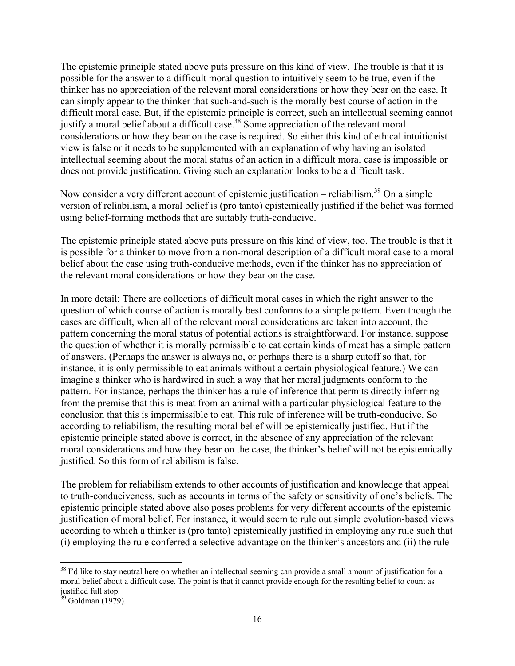The epistemic principle stated above puts pressure on this kind of view. The trouble is that it is possible for the answer to a difficult moral question to intuitively seem to be true, even if the thinker has no appreciation of the relevant moral considerations or how they bear on the case. It can simply appear to the thinker that such-and-such is the morally best course of action in the difficult moral case. But, if the epistemic principle is correct, such an intellectual seeming cannot justify a moral belief about a difficult case.<sup>38</sup> Some appreciation of the relevant moral considerations or how they bear on the case is required. So either this kind of ethical intuitionist view is false or it needs to be supplemented with an explanation of why having an isolated intellectual seeming about the moral status of an action in a difficult moral case is impossible or does not provide justification. Giving such an explanation looks to be a difficult task.

Now consider a very different account of epistemic justification – reliabilism.<sup>39</sup> On a simple version of reliabilism, a moral belief is (pro tanto) epistemically justified if the belief was formed using belief-forming methods that are suitably truth-conducive.

The epistemic principle stated above puts pressure on this kind of view, too. The trouble is that it is possible for a thinker to move from a non-moral description of a difficult moral case to a moral belief about the case using truth-conducive methods, even if the thinker has no appreciation of the relevant moral considerations or how they bear on the case.

In more detail: There are collections of difficult moral cases in which the right answer to the question of which course of action is morally best conforms to a simple pattern. Even though the cases are difficult, when all of the relevant moral considerations are taken into account, the pattern concerning the moral status of potential actions is straightforward. For instance, suppose the question of whether it is morally permissible to eat certain kinds of meat has a simple pattern of answers. (Perhaps the answer is always no, or perhaps there is a sharp cutoff so that, for instance, it is only permissible to eat animals without a certain physiological feature.) We can imagine a thinker who is hardwired in such a way that her moral judgments conform to the pattern. For instance, perhaps the thinker has a rule of inference that permits directly inferring from the premise that this is meat from an animal with a particular physiological feature to the conclusion that this is impermissible to eat. This rule of inference will be truth-conducive. So according to reliabilism, the resulting moral belief will be epistemically justified. But if the epistemic principle stated above is correct, in the absence of any appreciation of the relevant moral considerations and how they bear on the case, the thinker's belief will not be epistemically justified. So this form of reliabilism is false.

The problem for reliabilism extends to other accounts of justification and knowledge that appeal to truth-conduciveness, such as accounts in terms of the safety or sensitivity of one's beliefs. The epistemic principle stated above also poses problems for very different accounts of the epistemic justification of moral belief. For instance, it would seem to rule out simple evolution-based views according to which a thinker is (pro tanto) epistemically justified in employing any rule such that (i) employing the rule conferred a selective advantage on the thinker's ancestors and (ii) the rule

  $38$  I'd like to stay neutral here on whether an intellectual seeming can provide a small amount of justification for a moral belief about a difficult case. The point is that it cannot provide enough for the resulting belief to count as justified full stop.

 $39$  Goldman (1979).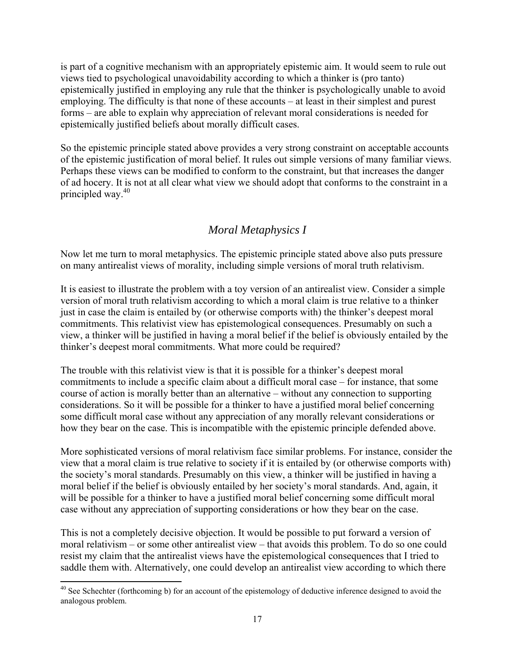is part of a cognitive mechanism with an appropriately epistemic aim. It would seem to rule out views tied to psychological unavoidability according to which a thinker is (pro tanto) epistemically justified in employing any rule that the thinker is psychologically unable to avoid employing. The difficulty is that none of these accounts – at least in their simplest and purest forms – are able to explain why appreciation of relevant moral considerations is needed for epistemically justified beliefs about morally difficult cases.

So the epistemic principle stated above provides a very strong constraint on acceptable accounts of the epistemic justification of moral belief. It rules out simple versions of many familiar views. Perhaps these views can be modified to conform to the constraint, but that increases the danger of ad hocery. It is not at all clear what view we should adopt that conforms to the constraint in a principled way.40

#### *Moral Metaphysics I*

Now let me turn to moral metaphysics. The epistemic principle stated above also puts pressure on many antirealist views of morality, including simple versions of moral truth relativism.

It is easiest to illustrate the problem with a toy version of an antirealist view. Consider a simple version of moral truth relativism according to which a moral claim is true relative to a thinker just in case the claim is entailed by (or otherwise comports with) the thinker's deepest moral commitments. This relativist view has epistemological consequences. Presumably on such a view, a thinker will be justified in having a moral belief if the belief is obviously entailed by the thinker's deepest moral commitments. What more could be required?

The trouble with this relativist view is that it is possible for a thinker's deepest moral commitments to include a specific claim about a difficult moral case – for instance, that some course of action is morally better than an alternative – without any connection to supporting considerations. So it will be possible for a thinker to have a justified moral belief concerning some difficult moral case without any appreciation of any morally relevant considerations or how they bear on the case. This is incompatible with the epistemic principle defended above.

More sophisticated versions of moral relativism face similar problems. For instance, consider the view that a moral claim is true relative to society if it is entailed by (or otherwise comports with) the society's moral standards. Presumably on this view, a thinker will be justified in having a moral belief if the belief is obviously entailed by her society's moral standards. And, again, it will be possible for a thinker to have a justified moral belief concerning some difficult moral case without any appreciation of supporting considerations or how they bear on the case.

This is not a completely decisive objection. It would be possible to put forward a version of moral relativism – or some other antirealist view – that avoids this problem. To do so one could resist my claim that the antirealist views have the epistemological consequences that I tried to saddle them with. Alternatively, one could develop an antirealist view according to which there

<sup>&</sup>lt;sup>40</sup> See Schechter (forthcoming b) for an account of the epistemology of deductive inference designed to avoid the analogous problem.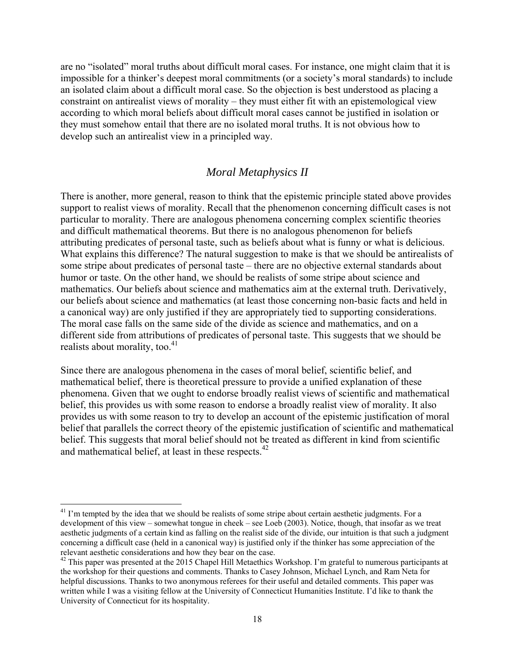are no "isolated" moral truths about difficult moral cases. For instance, one might claim that it is impossible for a thinker's deepest moral commitments (or a society's moral standards) to include an isolated claim about a difficult moral case. So the objection is best understood as placing a constraint on antirealist views of morality – they must either fit with an epistemological view according to which moral beliefs about difficult moral cases cannot be justified in isolation or they must somehow entail that there are no isolated moral truths. It is not obvious how to develop such an antirealist view in a principled way.

#### *Moral Metaphysics II*

There is another, more general, reason to think that the epistemic principle stated above provides support to realist views of morality. Recall that the phenomenon concerning difficult cases is not particular to morality. There are analogous phenomena concerning complex scientific theories and difficult mathematical theorems. But there is no analogous phenomenon for beliefs attributing predicates of personal taste, such as beliefs about what is funny or what is delicious. What explains this difference? The natural suggestion to make is that we should be antirealists of some stripe about predicates of personal taste – there are no objective external standards about humor or taste. On the other hand, we should be realists of some stripe about science and mathematics. Our beliefs about science and mathematics aim at the external truth. Derivatively, our beliefs about science and mathematics (at least those concerning non-basic facts and held in a canonical way) are only justified if they are appropriately tied to supporting considerations. The moral case falls on the same side of the divide as science and mathematics, and on a different side from attributions of predicates of personal taste. This suggests that we should be realists about morality, too. $41$ 

Since there are analogous phenomena in the cases of moral belief, scientific belief, and mathematical belief, there is theoretical pressure to provide a unified explanation of these phenomena. Given that we ought to endorse broadly realist views of scientific and mathematical belief, this provides us with some reason to endorse a broadly realist view of morality. It also provides us with some reason to try to develop an account of the epistemic justification of moral belief that parallels the correct theory of the epistemic justification of scientific and mathematical belief. This suggests that moral belief should not be treated as different in kind from scientific and mathematical belief, at least in these respects. $42$ 

<sup>&</sup>lt;sup>41</sup> I'm tempted by the idea that we should be realists of some stripe about certain aesthetic judgments. For a development of this view – somewhat tongue in cheek – see Loeb (2003). Notice, though, that insofar as we treat aesthetic judgments of a certain kind as falling on the realist side of the divide, our intuition is that such a judgment concerning a difficult case (held in a canonical way) is justified only if the thinker has some appreciation of the relevant aesthetic considerations and how they bear on the case.<br><sup>42</sup> This paper was presented at the 2015 Chapel Hill Metaethics Workshop. I'm grateful to numerous participants at

the workshop for their questions and comments. Thanks to Casey Johnson, Michael Lynch, and Ram Neta for helpful discussions. Thanks to two anonymous referees for their useful and detailed comments. This paper was written while I was a visiting fellow at the University of Connecticut Humanities Institute. I'd like to thank the University of Connecticut for its hospitality.